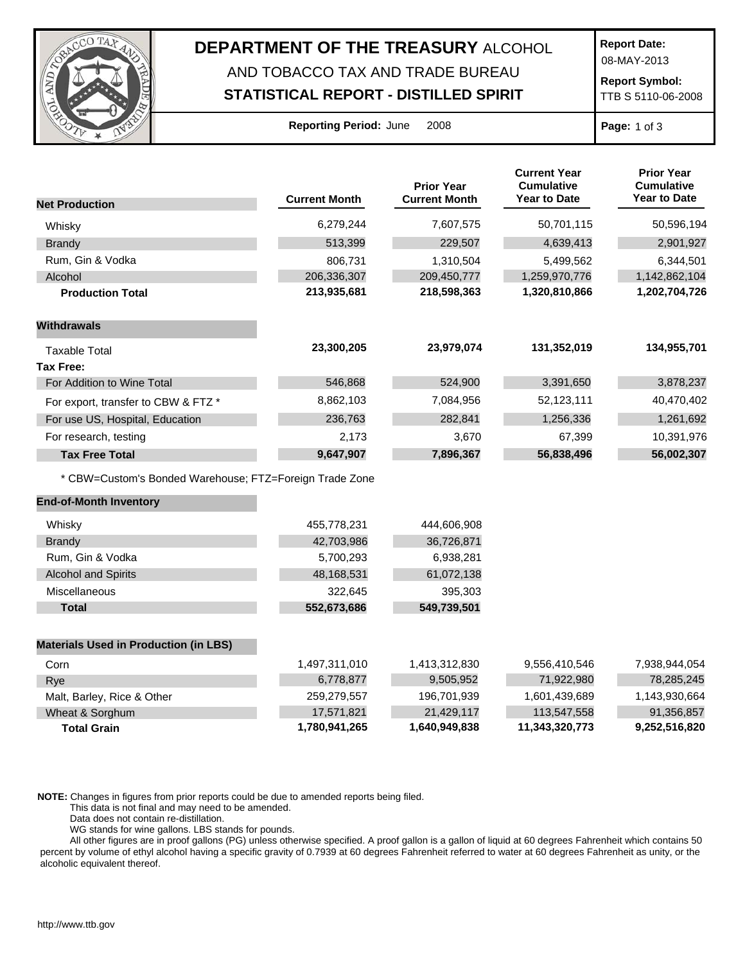

## **DEPARTMENT OF THE TREASURY** ALCOHOL AND TOBACCO TAX AND TRADE BUREAU

## **STATISTICAL REPORT - DISTILLED SPIRIT**

**Report Date:**

08-MAY-2013

**Report Symbol:** TTB S 5110-06-2008

| <b>Reporting Period: June</b> |  | 2008 |
|-------------------------------|--|------|
|                               |  |      |

**Report 2008 Page:** 1 of 3

|                                                         |                      | <b>Prior Year</b>    | <b>Current Year</b><br><b>Cumulative</b> | <b>Prior Year</b><br><b>Cumulative</b> |
|---------------------------------------------------------|----------------------|----------------------|------------------------------------------|----------------------------------------|
| <b>Net Production</b>                                   | <b>Current Month</b> | <b>Current Month</b> | <b>Year to Date</b>                      | <b>Year to Date</b>                    |
| Whisky                                                  | 6,279,244            | 7,607,575            | 50,701,115                               | 50,596,194                             |
| <b>Brandy</b>                                           | 513,399              | 229,507              | 4,639,413                                | 2,901,927                              |
| Rum, Gin & Vodka                                        | 806,731              | 1,310,504            | 5,499,562                                | 6,344,501                              |
| Alcohol                                                 | 206,336,307          | 209,450,777          | 1,259,970,776                            | 1,142,862,104                          |
| <b>Production Total</b>                                 | 213,935,681          | 218,598,363          | 1,320,810,866                            | 1,202,704,726                          |
| <b>Withdrawals</b>                                      |                      |                      |                                          |                                        |
| <b>Taxable Total</b>                                    | 23,300,205           | 23,979,074           | 131,352,019                              | 134,955,701                            |
| Tax Free:                                               |                      |                      |                                          |                                        |
| For Addition to Wine Total                              | 546,868              | 524,900              | 3,391,650                                | 3,878,237                              |
| For export, transfer to CBW & FTZ *                     | 8,862,103            | 7,084,956            | 52,123,111                               | 40,470,402                             |
| For use US, Hospital, Education                         | 236,763              | 282,841              | 1,256,336                                | 1,261,692                              |
| For research, testing                                   | 2,173                | 3,670                | 67,399                                   | 10,391,976                             |
| <b>Tax Free Total</b>                                   | 9,647,907            | 7,896,367            | 56,838,496                               | 56,002,307                             |
| * CBW=Custom's Bonded Warehouse; FTZ=Foreign Trade Zone |                      |                      |                                          |                                        |
| <b>End-of-Month Inventory</b>                           |                      |                      |                                          |                                        |
| Whisky                                                  | 455,778,231          | 444,606,908          |                                          |                                        |
| <b>Brandy</b>                                           | 42,703,986           | 36,726,871           |                                          |                                        |
| Rum, Gin & Vodka                                        | 5,700,293            | 6,938,281            |                                          |                                        |
| <b>Alcohol and Spirits</b>                              | 48,168,531           | 61,072,138           |                                          |                                        |
| Miscellaneous                                           | 322,645              | 395,303              |                                          |                                        |
| <b>Total</b>                                            | 552,673,686          | 549,739,501          |                                          |                                        |
| <b>Materials Used in Production (in LBS)</b>            |                      |                      |                                          |                                        |
| Corn                                                    | 1,497,311,010        | 1,413,312,830        | 9,556,410,546                            | 7,938,944,054                          |
| Rye                                                     | 6,778,877            | 9,505,952            | 71,922,980                               | 78,285,245                             |
| Malt, Barley, Rice & Other                              | 259,279,557          | 196,701,939          | 1,601,439,689                            | 1,143,930,664                          |
| Wheat & Sorghum                                         | 17,571,821           | 21,429,117           | 113,547,558                              | 91,356,857                             |
| <b>Total Grain</b>                                      | 1,780,941,265        | 1,640,949,838        | 11,343,320,773                           | 9,252,516,820                          |

**NOTE:** Changes in figures from prior reports could be due to amended reports being filed.

This data is not final and may need to be amended.

Data does not contain re-distillation.

WG stands for wine gallons. LBS stands for pounds.

All other figures are in proof gallons (PG) unless otherwise specified. A proof gallon is a gallon of liquid at 60 degrees Fahrenheit which contains 50 percent by volume of ethyl alcohol having a specific gravity of 0.7939 at 60 degrees Fahrenheit referred to water at 60 degrees Fahrenheit as unity, or the alcoholic equivalent thereof.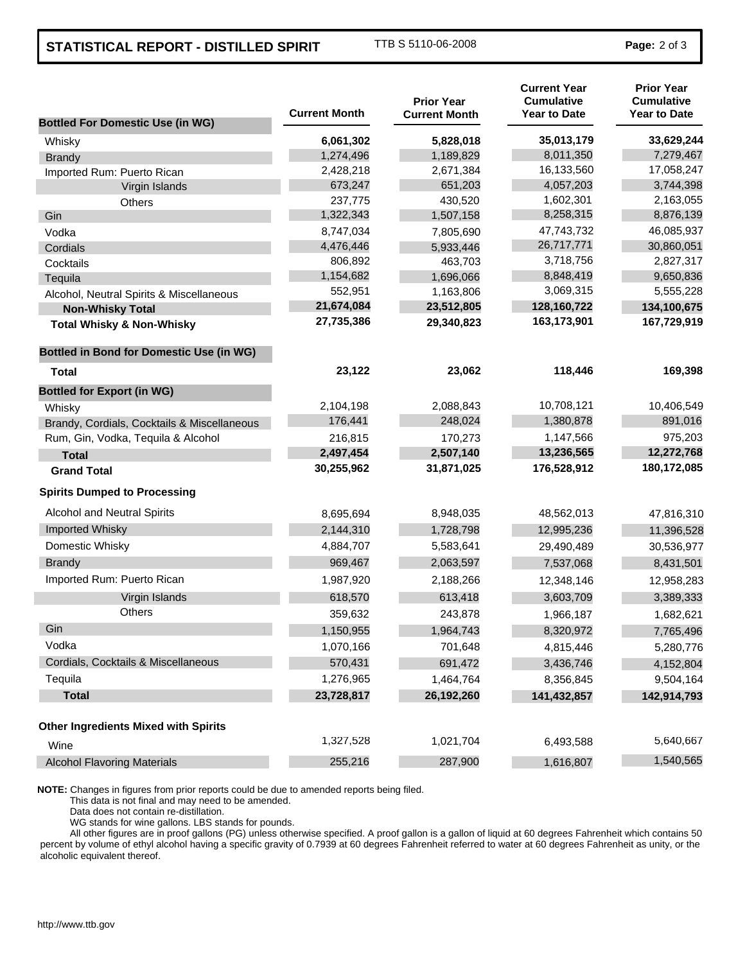## **STATISTICAL REPORT - DISTILLED SPIRIT** TTB S 5110-06-2008 **Page:** 2 of 3

| <b>Bottled For Domestic Use (in WG)</b>         | <b>Current Month</b> | <b>Prior Year</b><br><b>Current Month</b> | <b>Current Year</b><br><b>Cumulative</b><br><b>Year to Date</b> | <b>Prior Year</b><br><b>Cumulative</b><br><b>Year to Date</b> |
|-------------------------------------------------|----------------------|-------------------------------------------|-----------------------------------------------------------------|---------------------------------------------------------------|
| Whisky                                          | 6,061,302            | 5,828,018                                 | 35,013,179                                                      | 33,629,244                                                    |
| <b>Brandy</b>                                   | 1,274,496            | 1,189,829                                 | 8,011,350                                                       | 7,279,467                                                     |
| Imported Rum: Puerto Rican                      | 2,428,218            | 2,671,384                                 | 16,133,560                                                      | 17,058,247                                                    |
| Virgin Islands                                  | 673,247              | 651,203                                   | 4,057,203                                                       | 3,744,398                                                     |
| <b>Others</b>                                   | 237,775              | 430,520                                   | 1,602,301                                                       | 2,163,055                                                     |
| Gin                                             | 1,322,343            | 1,507,158                                 | 8,258,315                                                       | 8,876,139                                                     |
| Vodka                                           | 8,747,034            | 7,805,690                                 | 47,743,732                                                      | 46,085,937                                                    |
| Cordials                                        | 4,476,446            | 5,933,446                                 | 26,717,771                                                      | 30,860,051                                                    |
| Cocktails                                       | 806,892              | 463,703                                   | 3,718,756                                                       | 2,827,317                                                     |
| Tequila                                         | 1,154,682            | 1,696,066                                 | 8,848,419                                                       | 9,650,836                                                     |
| Alcohol, Neutral Spirits & Miscellaneous        | 552,951              | 1,163,806                                 | 3,069,315                                                       | 5,555,228                                                     |
| <b>Non-Whisky Total</b>                         | 21,674,084           | 23,512,805                                | 128,160,722                                                     | 134,100,675                                                   |
| <b>Total Whisky &amp; Non-Whisky</b>            | 27,735,386           | 29,340,823                                | 163,173,901                                                     | 167,729,919                                                   |
| <b>Bottled in Bond for Domestic Use (in WG)</b> |                      |                                           |                                                                 |                                                               |
| <b>Total</b>                                    | 23,122               | 23,062                                    | 118,446                                                         | 169,398                                                       |
| <b>Bottled for Export (in WG)</b>               |                      |                                           |                                                                 |                                                               |
| Whisky                                          | 2,104,198            | 2,088,843                                 | 10,708,121                                                      | 10,406,549                                                    |
| Brandy, Cordials, Cocktails & Miscellaneous     | 176,441              | 248,024                                   | 1,380,878                                                       | 891,016                                                       |
| Rum, Gin, Vodka, Tequila & Alcohol              | 216,815              | 170,273                                   | 1,147,566                                                       | 975,203                                                       |
| <b>Total</b>                                    | 2,497,454            | 2,507,140                                 | 13,236,565                                                      | 12,272,768                                                    |
| <b>Grand Total</b>                              | 30,255,962           | 31,871,025                                | 176,528,912                                                     | 180,172,085                                                   |
| <b>Spirits Dumped to Processing</b>             |                      |                                           |                                                                 |                                                               |
| <b>Alcohol and Neutral Spirits</b>              | 8,695,694            | 8,948,035                                 | 48,562,013                                                      | 47,816,310                                                    |
| Imported Whisky                                 | 2,144,310            | 1,728,798                                 | 12,995,236                                                      | 11,396,528                                                    |
| Domestic Whisky                                 | 4,884,707            | 5,583,641                                 | 29,490,489                                                      | 30,536,977                                                    |
| <b>Brandy</b>                                   | 969,467              | 2,063,597                                 | 7,537,068                                                       | 8,431,501                                                     |
| Imported Rum: Puerto Rican                      | 1,987,920            | 2,188,266                                 | 12,348,146                                                      | 12,958,283                                                    |
| Virgin Islands                                  | 618,570              | 613,418                                   | 3,603,709                                                       | 3,389,333                                                     |
| <b>Others</b>                                   | 359,632              | 243,878                                   | 1,966,187                                                       | 1,682,621                                                     |
| Gin                                             | 1,150,955            | 1,964,743                                 | 8,320,972                                                       | 7,765,496                                                     |
| Vodka                                           | 1,070,166            | 701,648                                   | 4,815,446                                                       | 5,280,776                                                     |
| Cordials, Cocktails & Miscellaneous             | 570,431              | 691,472                                   | 3,436,746                                                       | 4,152,804                                                     |
| Tequila                                         | 1,276,965            | 1,464,764                                 | 8,356,845                                                       | 9,504,164                                                     |
| <b>Total</b>                                    | 23,728,817           | 26,192,260                                | 141,432,857                                                     | 142,914,793                                                   |
| <b>Other Ingredients Mixed with Spirits</b>     |                      |                                           |                                                                 |                                                               |
| Wine                                            | 1,327,528            | 1,021,704                                 | 6,493,588                                                       | 5,640,667                                                     |
| <b>Alcohol Flavoring Materials</b>              | 255,216              | 287,900                                   | 1,616,807                                                       | 1,540,565                                                     |

**NOTE:** Changes in figures from prior reports could be due to amended reports being filed.

This data is not final and may need to be amended.

Data does not contain re-distillation.

WG stands for wine gallons. LBS stands for pounds.

All other figures are in proof gallons (PG) unless otherwise specified. A proof gallon is a gallon of liquid at 60 degrees Fahrenheit which contains 50 percent by volume of ethyl alcohol having a specific gravity of 0.7939 at 60 degrees Fahrenheit referred to water at 60 degrees Fahrenheit as unity, or the alcoholic equivalent thereof.